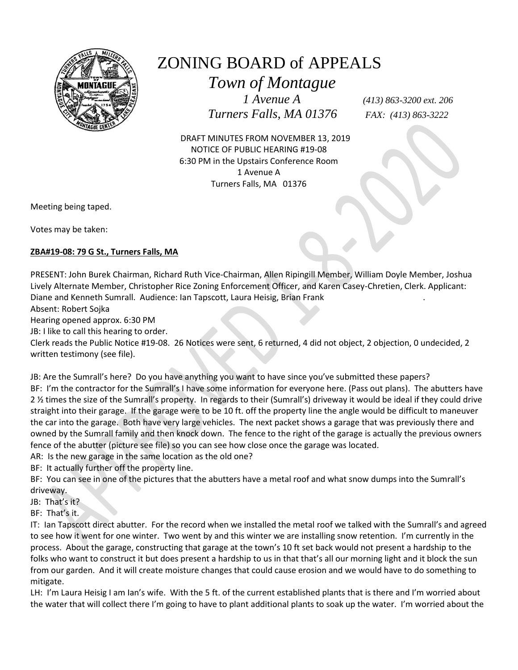

## ZONING BOARD of APPEALS

 *Town of Montague*

 *Turners Falls, MA 01376 FAX: (413) 863-3222*

 *1 Avenue A (413) 863-3200 ext. 206*

 DRAFT MINUTES FROM NOVEMBER 13, 2019 NOTICE OF PUBLIC HEARING #19-08 6:30 PM in the Upstairs Conference Room 1 Avenue A Turners Falls, MA 01376

Meeting being taped.

Votes may be taken:

## **ZBA#19-08: 79 G St., Turners Falls, MA**

PRESENT: John Burek Chairman, Richard Ruth Vice-Chairman, Allen Ripingill Member, William Doyle Member, Joshua Lively Alternate Member, Christopher Rice Zoning Enforcement Officer, and Karen Casey-Chretien, Clerk. Applicant: Diane and Kenneth Sumrall. Audience: Ian Tapscott, Laura Heisig, Brian Frank .

Absent: Robert Sojka

Hearing opened approx. 6:30 PM

JB: I like to call this hearing to order.

Clerk reads the Public Notice #19-08. 26 Notices were sent, 6 returned, 4 did not object, 2 objection, 0 undecided, 2 written testimony (see file).

JB: Are the Sumrall's here? Do you have anything you want to have since you've submitted these papers? BF: I'm the contractor for the Sumrall's I have some information for everyone here. (Pass out plans). The abutters have 2 ½ times the size of the Sumrall's property. In regards to their (Sumrall's) driveway it would be ideal if they could drive straight into their garage. If the garage were to be 10 ft. off the property line the angle would be difficult to maneuver the car into the garage. Both have very large vehicles. The next packet shows a garage that was previously there and owned by the Sumrall family and then knock down. The fence to the right of the garage is actually the previous owners fence of the abutter (picture see file) so you can see how close once the garage was located.

AR: Is the new garage in the same location as the old one?

BF: It actually further off the property line.

BF: You can see in one of the pictures that the abutters have a metal roof and what snow dumps into the Sumrall's driveway.

JB: That's it?

BF: That's it.

IT: Ian Tapscott direct abutter. For the record when we installed the metal roof we talked with the Sumrall's and agreed to see how it went for one winter. Two went by and this winter we are installing snow retention. I'm currently in the process. About the garage, constructing that garage at the town's 10 ft set back would not present a hardship to the folks who want to construct it but does present a hardship to us in that that's all our morning light and it block the sun from our garden. And it will create moisture changes that could cause erosion and we would have to do something to mitigate.

LH: I'm Laura Heisig I am Ian's wife. With the 5 ft. of the current established plants that is there and I'm worried about the water that will collect there I'm going to have to plant additional plants to soak up the water. I'm worried about the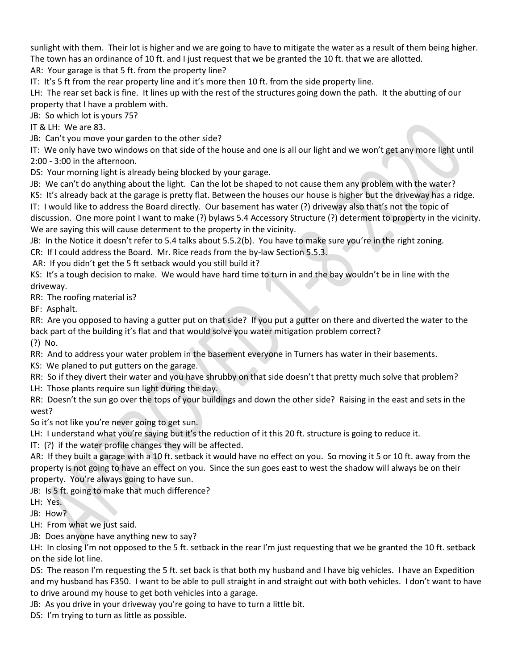sunlight with them. Their lot is higher and we are going to have to mitigate the water as a result of them being higher. The town has an ordinance of 10 ft. and I just request that we be granted the 10 ft. that we are allotted.

AR: Your garage is that 5 ft. from the property line?

IT: It's 5 ft from the rear property line and it's more then 10 ft. from the side property line.

LH: The rear set back is fine. It lines up with the rest of the structures going down the path. It the abutting of our property that I have a problem with.

JB: So which lot is yours 75?

IT & LH: We are 83.

JB: Can't you move your garden to the other side?

IT: We only have two windows on that side of the house and one is all our light and we won't get any more light until 2:00 - 3:00 in the afternoon.

DS: Your morning light is already being blocked by your garage.

JB: We can't do anything about the light. Can the lot be shaped to not cause them any problem with the water?

KS: It's already back at the garage is pretty flat. Between the houses our house is higher but the driveway has a ridge.

IT: I would like to address the Board directly. Our basement has water (?) driveway also that's not the topic of discussion. One more point I want to make (?) bylaws 5.4 Accessory Structure (?) determent to property in the vicinity. We are saying this will cause determent to the property in the vicinity.

JB: In the Notice it doesn't refer to 5.4 talks about 5.5.2(b). You have to make sure you're in the right zoning.

CR: If I could address the Board. Mr. Rice reads from the by-law Section 5.5.3.

AR: If you didn't get the 5 ft setback would you still build it?

KS: It's a tough decision to make. We would have hard time to turn in and the bay wouldn't be in line with the driveway.

RR: The roofing material is?

BF: Asphalt.

RR: Are you opposed to having a gutter put on that side? If you put a gutter on there and diverted the water to the back part of the building it's flat and that would solve you water mitigation problem correct?

(?) No.

RR: And to address your water problem in the basement everyone in Turners has water in their basements.

KS: We planed to put gutters on the garage.

RR: So if they divert their water and you have shrubby on that side doesn't that pretty much solve that problem?

LH: Those plants require sun light during the day.

RR: Doesn't the sun go over the tops of your buildings and down the other side? Raising in the east and sets in the west?

So it's not like you're never going to get sun.

LH: I understand what you're saying but it's the reduction of it this 20 ft. structure is going to reduce it.

IT: (?) if the water profile changes they will be affected.

AR: If they built a garage with a 10 ft. setback it would have no effect on you. So moving it 5 or 10 ft. away from the property is not going to have an effect on you. Since the sun goes east to west the shadow will always be on their property. You're always going to have sun.

JB: Is 5 ft. going to make that much difference?

LH: Yes.

JB: How?

LH: From what we just said.

JB: Does anyone have anything new to say?

LH: In closing I'm not opposed to the 5 ft. setback in the rear I'm just requesting that we be granted the 10 ft. setback on the side lot line.

DS: The reason I'm requesting the 5 ft. set back is that both my husband and I have big vehicles. I have an Expedition and my husband has F350. I want to be able to pull straight in and straight out with both vehicles. I don't want to have to drive around my house to get both vehicles into a garage.

JB: As you drive in your driveway you're going to have to turn a little bit.

DS: I'm trying to turn as little as possible.